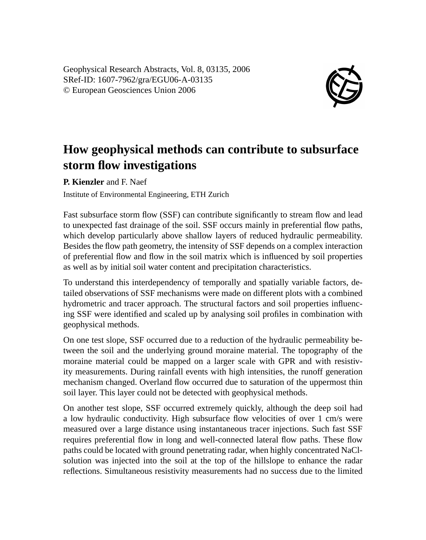Geophysical Research Abstracts, Vol. 8, 03135, 2006 SRef-ID: 1607-7962/gra/EGU06-A-03135 © European Geosciences Union 2006



## **How geophysical methods can contribute to subsurface storm flow investigations**

**P. Kienzler** and F. Naef

Institute of Environmental Engineering, ETH Zurich

Fast subsurface storm flow (SSF) can contribute significantly to stream flow and lead to unexpected fast drainage of the soil. SSF occurs mainly in preferential flow paths, which develop particularly above shallow layers of reduced hydraulic permeability. Besides the flow path geometry, the intensity of SSF depends on a complex interaction of preferential flow and flow in the soil matrix which is influenced by soil properties as well as by initial soil water content and precipitation characteristics.

To understand this interdependency of temporally and spatially variable factors, detailed observations of SSF mechanisms were made on different plots with a combined hydrometric and tracer approach. The structural factors and soil properties influencing SSF were identified and scaled up by analysing soil profiles in combination with geophysical methods.

On one test slope, SSF occurred due to a reduction of the hydraulic permeability between the soil and the underlying ground moraine material. The topography of the moraine material could be mapped on a larger scale with GPR and with resistivity measurements. During rainfall events with high intensities, the runoff generation mechanism changed. Overland flow occurred due to saturation of the uppermost thin soil layer. This layer could not be detected with geophysical methods.

On another test slope, SSF occurred extremely quickly, although the deep soil had a low hydraulic conductivity. High subsurface flow velocities of over 1 cm/s were measured over a large distance using instantaneous tracer injections. Such fast SSF requires preferential flow in long and well-connected lateral flow paths. These flow paths could be located with ground penetrating radar, when highly concentrated NaClsolution was injected into the soil at the top of the hillslope to enhance the radar reflections. Simultaneous resistivity measurements had no success due to the limited